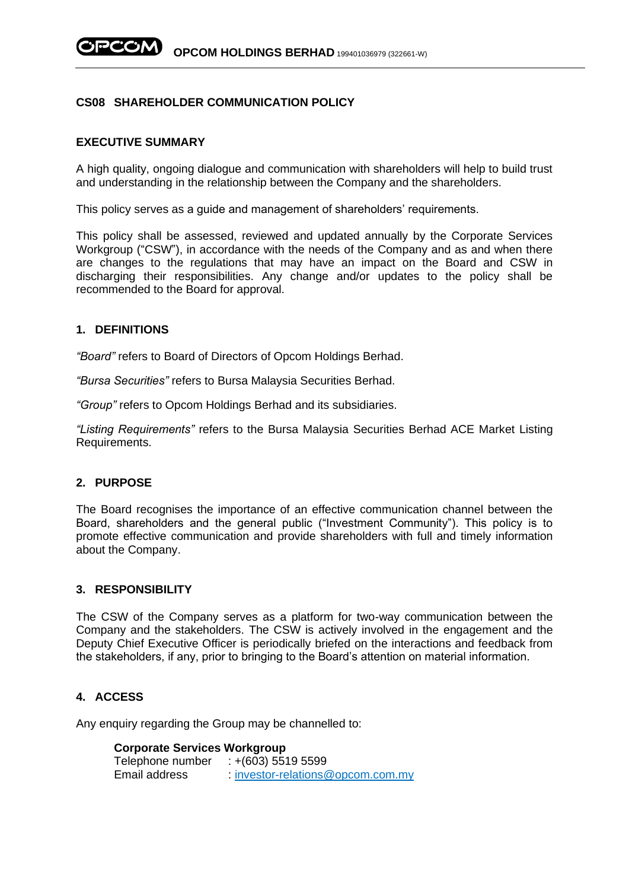# **CS08 SHAREHOLDER COMMUNICATION POLICY**

## **EXECUTIVE SUMMARY**

A high quality, ongoing dialogue and communication with shareholders will help to build trust and understanding in the relationship between the Company and the shareholders.

This policy serves as a guide and management of shareholders' requirements.

This policy shall be assessed, reviewed and updated annually by the Corporate Services Workgroup ("CSW"), in accordance with the needs of the Company and as and when there are changes to the regulations that may have an impact on the Board and CSW in discharging their responsibilities. Any change and/or updates to the policy shall be recommended to the Board for approval.

## **1. DEFINITIONS**

*"Board"* refers to Board of Directors of Opcom Holdings Berhad.

*"Bursa Securities"* refers to Bursa Malaysia Securities Berhad.

*"Group"* refers to Opcom Holdings Berhad and its subsidiaries.

*"Listing Requirements"* refers to the Bursa Malaysia Securities Berhad ACE Market Listing Requirements.

## **2. PURPOSE**

The Board recognises the importance of an effective communication channel between the Board, shareholders and the general public ("Investment Community"). This policy is to promote effective communication and provide shareholders with full and timely information about the Company.

#### **3. RESPONSIBILITY**

The CSW of the Company serves as a platform for two-way communication between the Company and the stakeholders. The CSW is actively involved in the engagement and the Deputy Chief Executive Officer is periodically briefed on the interactions and feedback from the stakeholders, if any, prior to bringing to the Board's attention on material information.

# **4. ACCESS**

Any enquiry regarding the Group may be channelled to:

#### **Corporate Services Workgroup**

Telephone number : +(603) 5519 5599 Email address : [investor-relations@opcom.com.my](mailto:investor-relations@opcom.com.my)